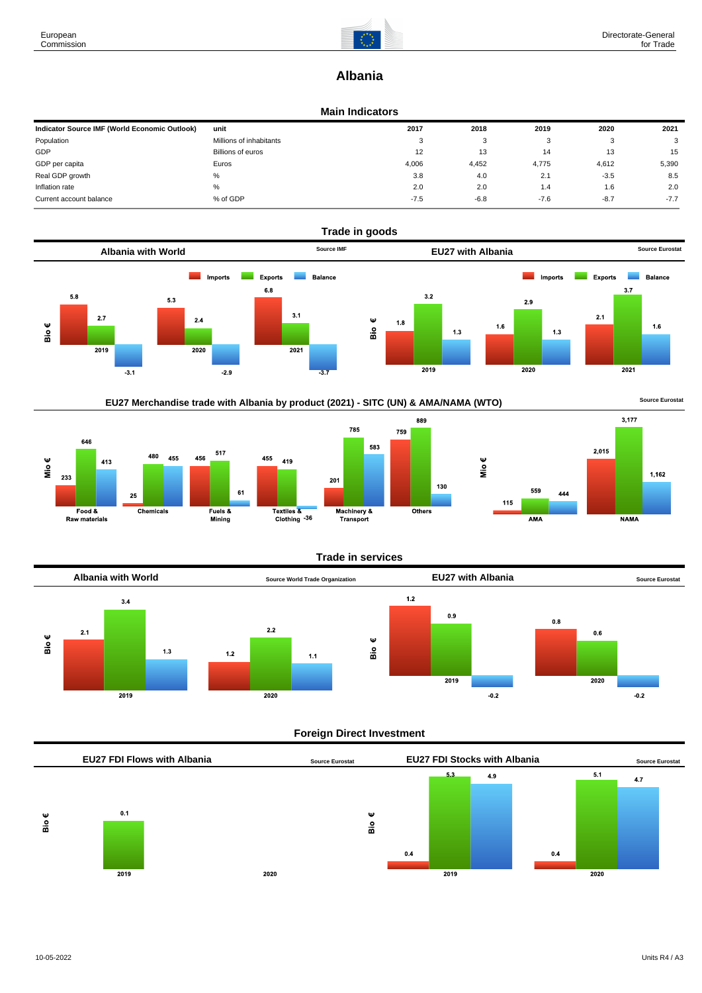

# **Albania**

#### **Main Indicators**

| Indicator Source IMF (World Economic Outlook) | unit                     | 2017   | 2018   | 2019   | 2020   | 2021   |
|-----------------------------------------------|--------------------------|--------|--------|--------|--------|--------|
| Population                                    | Millions of inhabitants  | 3      | ົ<br>ت |        | - 3    | 3      |
| GDP                                           | <b>Billions of euros</b> | 12     | 13     | 14     | 13     | 15     |
| GDP per capita                                | Euros                    | 4.006  | 4,452  | 4,775  | 4.612  | 5,390  |
| Real GDP growth                               | %                        | 3.8    | 4.0    | 2.1    | $-3.5$ | 8.5    |
| Inflation rate                                | %                        | 2.0    | 2.0    | 1.4    | 1.6    | 2.0    |
| Current account balance                       | % of GDP                 | $-7.5$ | $-6.8$ | $-7.6$ | $-8.7$ | $-7.7$ |







# **Trade in services**



# **Foreign Direct Investment**